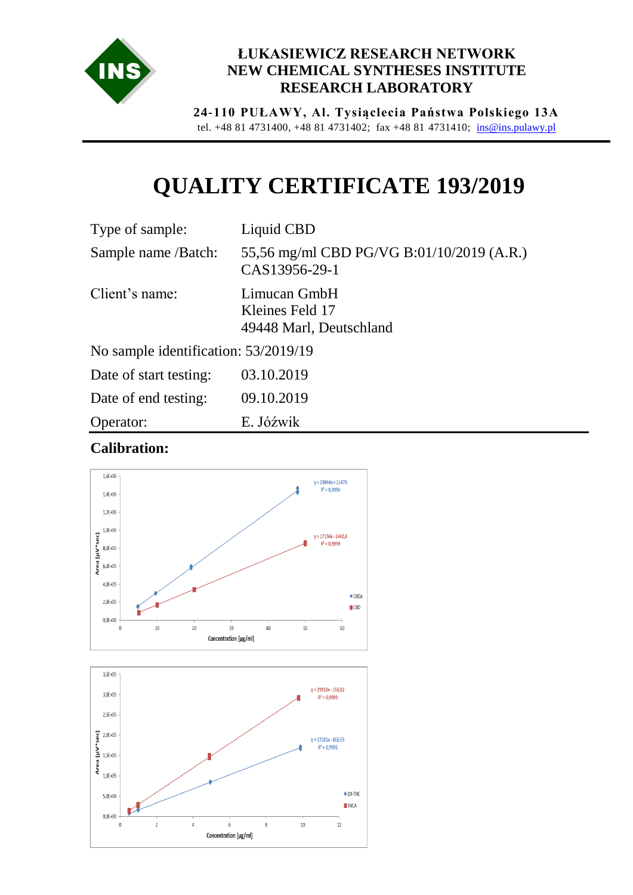

## **ŁUKASIEWICZ RESEARCH NETWORK NEW CHEMICAL SYNTHESES INSTITUTE RESEARCH LABORATORY**

**24-110 PUŁAWY, Al. Tysiąclecia Państwa Polskiego 13A** tel. +48 81 4731400, +48 81 4731402; fax +48 81 4731410; [ins@ins.pulawy.pl](mailto:ins@ins.pulawy.pl)

## **QUALITY CERTIFICATE 193/2019**

| Type of sample:                      | Liquid CBD                                                 |
|--------------------------------------|------------------------------------------------------------|
| Sample name /Batch:                  | 55,56 mg/ml CBD PG/VG B:01/10/2019 (A.R.)<br>CAS13956-29-1 |
| Client's name:                       | Limucan GmbH<br>Kleines Feld 17<br>49448 Marl, Deutschland |
| No sample identification: 53/2019/19 |                                                            |
|                                      |                                                            |

| Date of start testing: | 03.10.2019 |
|------------------------|------------|
| Date of end testing:   | 09.10.2019 |
| Operator:              | E. Jóźwik  |

## **Calibration:**